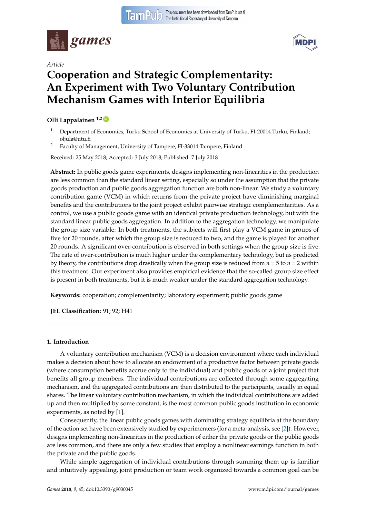



# *Article* **Cooperation and Strategic Complementarity: An Experiment with Two Voluntary Contribution Mechanism Games with Interior Equilibria**

### **Olli Lappalainen 1,2 [ID](https://orcid.org/0000-0002-6516-4052)**

- <sup>1</sup> Department of Economics, Turku School of Economics at University of Turku, FI-20014 Turku, Finland; oljula@utu.fi
- <sup>2</sup> Faculty of Management, University of Tampere, FI-33014 Tampere, Finland

Received: 25 May 2018; Accepted: 3 July 2018; Published: 7 July 2018

**Abstract:** In public goods game experiments, designs implementing non-linearities in the production are less common than the standard linear setting, especially so under the assumption that the private goods production and public goods aggregation function are both non-linear. We study a voluntary contribution game (VCM) in which returns from the private project have diminishing marginal benefits and the contributions to the joint project exhibit pairwise strategic complementarities. As a control, we use a public goods game with an identical private production technology, but with the standard linear public goods aggregation. In addition to the aggregation technology, we manipulate the group size variable: In both treatments, the subjects will first play a VCM game in groups of five for 20 rounds, after which the group size is reduced to two, and the game is played for another 20 rounds. A significant over-contribution is observed in both settings when the group size is five. The rate of over-contribution is much higher under the complementary technology, but as predicted by theory, the contributions drop drastically when the group size is reduced from  $n = 5$  to  $n = 2$  within this treatment. Our experiment also provides empirical evidence that the so-called group size effect is present in both treatments, but it is much weaker under the standard aggregation technology.

**Keywords:** cooperation; complementarity; laboratory experiment; public goods game

**JEL Classification:** 91; 92; H41

#### **1. Introduction**

A voluntary contribution mechanism (VCM) is a decision environment where each individual makes a decision about how to allocate an endowment of a productive factor between private goods (where consumption benefits accrue only to the individual) and public goods or a joint project that benefits all group members. The individual contributions are collected through some aggregating mechanism, and the aggregated contributions are then distributed to the participants, usually in equal shares. The linear voluntary contribution mechanism, in which the individual contributions are added up and then multiplied by some constant, is the most common public goods institution in economic experiments, as noted by [\[1\]](#page-22-0).

Consequently, the linear public goods games with dominating strategy equilibria at the boundary of the action set have been extensively studied by experimenters (for a meta-analysis, see [\[2\]](#page-22-1)). However, designs implementing non-linearities in the production of either the private goods or the public goods are less common, and there are only a few studies that employ a nonlinear earnings function in both the private and the public goods.

While simple aggregation of individual contributions through summing them up is familiar and intuitively appealing, joint production or team work organized towards a common goal can be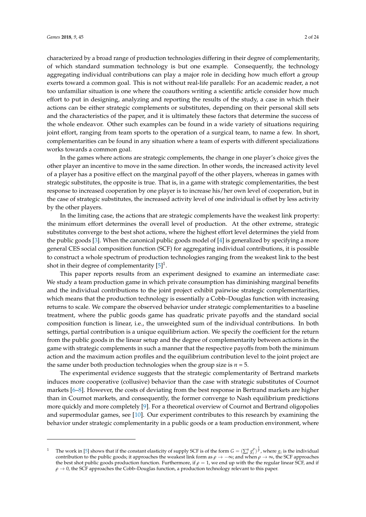characterized by a broad range of production technologies differing in their degree of complementarity, of which standard summation technology is but one example. Consequently, the technology aggregating individual contributions can play a major role in deciding how much effort a group exerts toward a common goal. This is not without real-life parallels: For an academic reader, a not too unfamiliar situation is one where the coauthors writing a scientific article consider how much effort to put in designing, analyzing and reporting the results of the study, a case in which their actions can be either strategic complements or substitutes, depending on their personal skill sets and the characteristics of the paper, and it is ultimately these factors that determine the success of the whole endeavor. Other such examples can be found in a wide variety of situations requiring joint effort, ranging from team sports to the operation of a surgical team, to name a few. In short, complementarities can be found in any situation where a team of experts with different specializations works towards a common goal.

In the games where actions are strategic complements, the change in one player's choice gives the other player an incentive to move in the same direction. In other words, the increased activity level of a player has a positive effect on the marginal payoff of the other players, whereas in games with strategic substitutes, the opposite is true. That is, in a game with strategic complementarities, the best response to increased cooperation by one player is to increase his/her own level of cooperation, but in the case of strategic substitutes, the increased activity level of one individual is offset by less activity by the other players.

In the limiting case, the actions that are strategic complements have the weakest link property: the minimum effort determines the overall level of production. At the other extreme, strategic substitutes converge to the best shot actions, where the highest effort level determines the yield from the public goods [\[3\]](#page-22-2). When the canonical public goods model of [\[4\]](#page-22-3) is generalized by specifying a more general CES social composition function (SCF) for aggregating individual contributions, it is possible to construct a whole spectrum of production technologies ranging from the weakest link to the best shot in their degree of complementarity  $[5]^1$  $[5]^1$ .

This paper reports results from an experiment designed to examine an intermediate case: We study a team production game in which private consumption has diminishing marginal benefits and the individual contributions to the joint project exhibit pairwise strategic complementarities, which means that the production technology is essentially a Cobb–Douglas function with increasing returns to scale. We compare the observed behavior under strategic complementarities to a baseline treatment, where the public goods game has quadratic private payoffs and the standard social composition function is linear, i.e., the unweighted sum of the individual contributions. In both settings, partial contribution is a unique equilibrium action. We specify the coefficient for the return from the public goods in the linear setup and the degree of complementarity between actions in the game with strategic complements in such a manner that the respective payoffs from both the minimum action and the maximum action profiles and the equilibrium contribution level to the joint project are the same under both production technologies when the group size is  $n = 5$ .

The experimental evidence suggests that the strategic complementarity of Bertrand markets induces more cooperative (collusive) behavior than the case with strategic substitutes of Cournot markets [\[6–](#page-22-5)[8\]](#page-22-6). However, the costs of deviating from the best response in Bertrand markets are higher than in Cournot markets, and consequently, the former converge to Nash equilibrium predictions more quickly and more completely [\[9\]](#page-22-7). For a theoretical overview of Cournot and Bertrand oligopolies and supermodular games, see [\[10\]](#page-22-8). Our experiment contributes to this research by examining the behavior under strategic complementarity in a public goods or a team production environment, where

<sup>&</sup>lt;sup>1</sup> The work in [\[5\]](#page-22-4) shows that if the constant elasticity of supply SCF is of the form  $G = (\sum_i^n g_i^p)^{\frac{1}{p}}$ , where  $g_i$  is the individual *i*<sub>k</sub> work in [5] shows that if the constant clasticity of suppry 5Cr is of the form  $G = (\sum_i g_i)^r$ , where  $g_i$  is the individual contribution to the public goods; it approaches the weakest link form as  $\rho \to -\infty$ ; and when the best shot public goods production function. Furthermore, if *ρ* = 1, we end up with the the regular linear SCF, and if  $\rho \rightarrow 0$ , the SCF approaches the Cobb–Douglas function, a production technology relevant to this paper.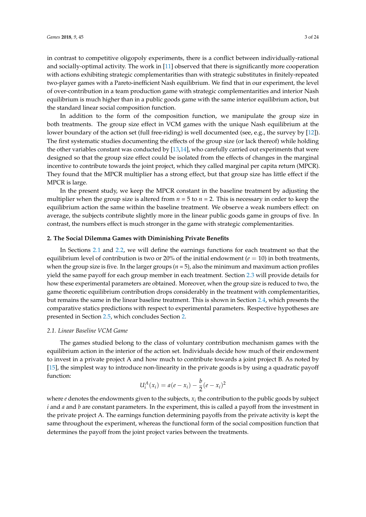in contrast to competitive oligopoly experiments, there is a conflict between individually-rational and socially-optimal activity. The work in [\[11\]](#page-22-9) observed that there is significantly more cooperation with actions exhibiting strategic complementarities than with strategic substitutes in finitely-repeated

two-player games with a Pareto-inefficient Nash equilibrium. We find that in our experiment, the level of over-contribution in a team production game with strategic complementarities and interior Nash equilibrium is much higher than in a public goods game with the same interior equilibrium action, but the standard linear social composition function.

In addition to the form of the composition function, we manipulate the group size in both treatments. The group size effect in VCM games with the unique Nash equilibrium at the lower boundary of the action set (full free-riding) is well documented (see, e.g., the survey by [\[12\]](#page-22-10)). The first systematic studies documenting the effects of the group size (or lack thereof) while holding the other variables constant was conducted by [\[13,](#page-22-11)[14\]](#page-22-12), who carefully carried out experiments that were designed so that the group size effect could be isolated from the effects of changes in the marginal incentive to contribute towards the joint project, which they called marginal per capita return (MPCR). They found that the MPCR multiplier has a strong effect, but that group size has little effect if the MPCR is large.

In the present study, we keep the MPCR constant in the baseline treatment by adjusting the multiplier when the group size is altered from  $n = 5$  to  $n = 2$ . This is necessary in order to keep the equilibrium action the same within the baseline treatment. We observe a weak numbers effect: on average, the subjects contribute slightly more in the linear public goods game in groups of five. In contrast, the numbers effect is much stronger in the game with strategic complementarities.

#### <span id="page-2-1"></span>**2. The Social Dilemma Games with Diminishing Private Benefits**

In Sections [2.1](#page-2-0) and [2.2,](#page-3-0) we will define the earnings functions for each treatment so that the equilibrium level of contribution is two or 20% of the initial endowment ( $e = 10$ ) in both treatments, when the group size is five. In the larger groups  $(n = 5)$ , also the minimum and maximum action profiles yield the same payoff for each group member in each treatment. Section [2.3](#page-4-0) will provide details for how these experimental parameters are obtained. Moreover, when the group size is reduced to two, the game theoretic equilibrium contribution drops considerably in the treatment with complementarities, but remains the same in the linear baseline treatment. This is shown in Section [2.4,](#page-4-1) which presents the comparative statics predictions with respect to experimental parameters. Respective hypotheses are presented in Section [2.5,](#page-6-0) which concludes Section [2.](#page-2-1)

#### <span id="page-2-0"></span>*2.1. Linear Baseline VCM Game*

The games studied belong to the class of voluntary contribution mechanism games with the equilibrium action in the interior of the action set. Individuals decide how much of their endowment to invest in a private project A and how much to contribute towards a joint project B. As noted by [\[15\]](#page-22-13), the simplest way to introduce non-linearity in the private goods is by using a quadratic payoff function:

$$
U_i^A(x_i) = a(e - x_i) - \frac{b}{2}(e - x_i)^2
$$

where  $e$  denotes the endowments given to the subjects,  $x_i$  the contribution to the public goods by subject *i* and *a* and *b* are constant parameters. In the experiment, this is called a payoff from the investment in the private project A. The earnings function determining payoffs from the private activity is kept the same throughout the experiment, whereas the functional form of the social composition function that determines the payoff from the joint project varies between the treatments.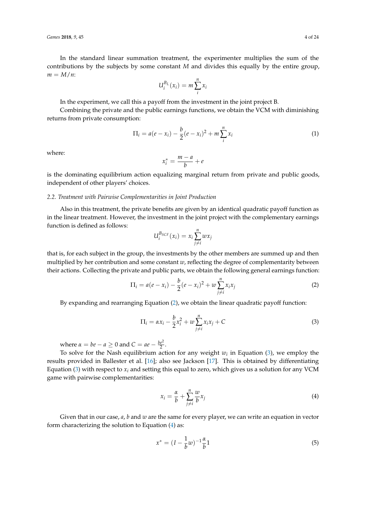In the standard linear summation treatment, the experimenter multiplies the sum of the contributions by the subjects by some constant *M* and divides this equally by the entire group,  $m = M/n$ 

$$
U_i^{B_L}(x_i)=m\sum_i^n x_i
$$

In the experiment, we call this a payoff from the investment in the joint project B.

Combining the private and the public earnings functions, we obtain the VCM with diminishing returns from private consumption:

<span id="page-3-4"></span>
$$
\Pi_i = a(e - x_i) - \frac{b}{2}(e - x_i)^2 + m \sum_{i=1}^{n} x_i
$$
 (1)

where:

$$
x_i^* = \frac{m-a}{b} + e
$$

is the dominating equilibrium action equalizing marginal return from private and public goods, independent of other players' choices.

#### <span id="page-3-0"></span>*2.2. Treatment with Pairwise Complementarities in Joint Production*

Also in this treatment, the private benefits are given by an identical quadratic payoff function as in the linear treatment. However, the investment in the joint project with the complementary earnings function is defined as follows:

$$
U_i^{B_{SCF}}(x_i) = x_i \sum_{j \neq i}^{n} w x_j
$$

that is, for each subject in the group, the investments by the other members are summed up and then multiplied by her contribution and some constant *w*, reflecting the degree of complementarity between their actions. Collecting the private and public parts, we obtain the following general earnings function:

<span id="page-3-1"></span>
$$
\Pi_i = a(e - x_i) - \frac{b}{2}(e - x_i)^2 + w \sum_{j \neq i}^{n} x_i x_j
$$
 (2)

By expanding and rearranging Equation [\(2\)](#page-3-1), we obtain the linear quadratic payoff function:

<span id="page-3-2"></span>
$$
\Pi_{i} = \alpha x_{i} - \frac{b}{2}x_{i}^{2} + w \sum_{j \neq i}^{n} x_{i}x_{j} + C
$$
\n(3)

where  $\alpha = be - a \geq 0$  and  $C = ae - \frac{be^2}{2}$ .

To solve for the Nash equilibrium action for any weight  $w_i$  in Equation [\(3\)](#page-3-2), we employ the results provided in Ballester et al. [\[16\]](#page-22-14); also see Jackson [\[17\]](#page-22-15). This is obtained by differentiating Equation [\(3\)](#page-3-2) with respect to  $x_i$  and setting this equal to zero, which gives us a solution for any VCM game with pairwise complementarities:

<span id="page-3-3"></span>
$$
x_i = \frac{\alpha}{b} + \sum_{j \neq i}^{n} \frac{w}{b} x_j \tag{4}
$$

Given that in our case, *a*, *b* and *w* are the same for every player, we can write an equation in vector form characterizing the solution to Equation [\(4\)](#page-3-3) as:

$$
x^* = (I - \frac{1}{b}w)^{-1}\frac{\alpha}{b}1\tag{5}
$$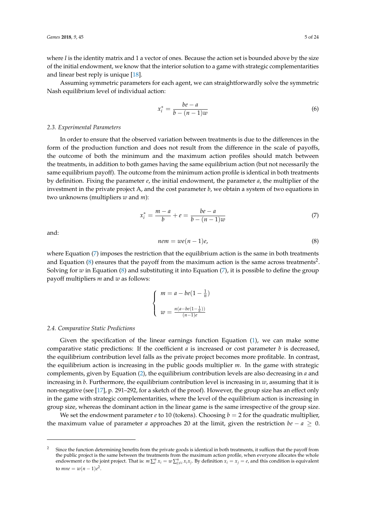where *I* is the identity matrix and 1 a vector of ones. Because the action set is bounded above by the size of the initial endowment, we know that the interior solution to a game with strategic complementarities and linear best reply is unique [\[18\]](#page-22-16).

Assuming symmetric parameters for each agent, we can straightforwardly solve the symmetric Nash equilibrium level of individual action:

$$
x_i^* = \frac{be - a}{b - (n - 1)w} \tag{6}
$$

#### <span id="page-4-0"></span>*2.3. Experimental Parameters*

In order to ensure that the observed variation between treatments is due to the differences in the form of the production function and does not result from the difference in the scale of payoffs, the outcome of both the minimum and the maximum action profiles should match between the treatments, in addition to both games having the same equilibrium action (but not necessarily the same equilibrium payoff). The outcome from the minimum action profile is identical in both treatments by definition. Fixing the parameter *e*, the initial endowment, the parameter *a*, the multiplier of the investment in the private project A, and the cost parameter *b*, we obtain a system of two equations in two unknowns (multipliers *w* and *m*):

<span id="page-4-2"></span>
$$
x_i^* = \frac{m - a}{b} + e = \frac{be - a}{b - (n - 1)w}
$$
 (7)

and:

<span id="page-4-3"></span>
$$
nem = we(n-1)e,
$$
\n(8)

where Equation [\(7\)](#page-4-2) imposes the restriction that the equilibrium action is the same in both treatments and Equation [\(8\)](#page-4-3) ensures that the payoff from the maximum action is the same across treatments<sup>2</sup>. Solving for *w* in Equation [\(8\)](#page-4-3) and substituting it into Equation [\(7\)](#page-4-2), it is possible to define the group payoff multipliers *m* and *w* as follows:

$$
\begin{cases}\n m = a - be\left(1 - \frac{1}{n}\right) \\
w = \frac{n(a - be\left(1 - \frac{1}{n}\right))}{(n - 1)e}\n\end{cases}
$$

#### <span id="page-4-1"></span>*2.4. Comparative Static Predictions*

Given the specification of the linear earnings function Equation [\(1\)](#page-3-4), we can make some comparative static predictions: If the coefficient  $a$  is increased or cost parameter  $b$  is decreased, the equilibrium contribution level falls as the private project becomes more profitable. In contrast, the equilibrium action is increasing in the public goods multiplier *m*. In the game with strategic complements, given by Equation [\(2\)](#page-3-1), the equilibrium contribution levels are also decreasing in *a* and increasing in *b*. Furthermore, the equilibrium contribution level is increasing in *w*, assuming that it is non-negative (see [\[17\]](#page-22-15), p. 291–292, for a sketch of the proof). However, the group size has an effect only in the game with strategic complementarities, where the level of the equilibrium action is increasing in group size, whereas the dominant action in the linear game is the same irrespective of the group size.

We set the endowment parameter *e* to 10 (tokens). Choosing  $b = 2$  for the quadratic multiplier, the maximum value of parameter *a* approaches 20 at the limit, given the restriction  $be - a \geq 0$ .

 $2<sup>2</sup>$  Since the function determining benefits from the private goods is identical in both treatments, it suffices that the payoff from the public project is the same between the treatments from the maximum action profile, when everyone allocates the whole endowment *e* to the joint project. That is:  $m\sum_{i=1}^{n} x_i = w\sum_{j=1}^{n} x_i x_j$ . By definition  $x_i = x_j = e$ , and this condition is equivalent to *mne* =  $w(n - 1)e^2$ .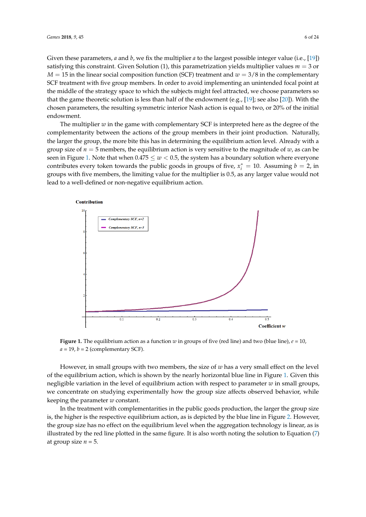Given these parameters, *a* and *b*, we fix the multiplier *a* to the largest possible integer value (i.e., [\[19\]](#page-22-17)) satisfying this constraint. Given Solution (1), this parametrization yields multiplier values *m* = 3 or  $M = 15$  in the linear social composition function (SCF) treatment and  $w = 3/8$  in the complementary SCF treatment with five group members. In order to avoid implementing an unintended focal point at the middle of the strategy space to which the subjects might feel attracted, we choose parameters so that the game theoretic solution is less than half of the endowment (e.g., [\[19\]](#page-22-17); see also [\[20\]](#page-22-18)). With the chosen parameters, the resulting symmetric interior Nash action is equal to two, or 20% of the initial endowment.

The multiplier *w* in the game with complementary SCF is interpreted here as the degree of the complementarity between the actions of the group members in their joint production. Naturally, the larger the group, the more bite this has in determining the equilibrium action level. Already with a group size of  $n = 5$  members, the equilibrium action is very sensitive to the magnitude of  $w$ , as can be seen in Figure [1.](#page-5-0) Note that when  $0.475 \leq w < 0.5$ , the system has a boundary solution where everyone contributes every token towards the public goods in groups of five,  $x_i^* = 10$ . Assuming  $b = 2$ , in groups with five members, the limiting value for the multiplier is 0.5, as any larger value would not lead to a well-defined or non-negative equilibrium action.

<span id="page-5-0"></span>

**Figure 1.** The equilibrium action as a function *w* in groups of five (red line) and two (blue line),  $e = 10$ ,  $a = 19$ ,  $b = 2$  (complementary SCF).

However, in small groups with two members, the size of *w* has a very small effect on the level of the equilibrium action, which is shown by the nearly horizontal blue line in Figure [1.](#page-5-0) Given this negligible variation in the level of equilibrium action with respect to parameter *w* in small groups, we concentrate on studying experimentally how the group size affects observed behavior, while keeping the parameter *w* constant.

In the treatment with complementarities in the public goods production, the larger the group size is, the higher is the respective equilibrium action, as is depicted by the blue line in Figure [2.](#page-6-1) However, the group size has no effect on the equilibrium level when the aggregation technology is linear, as is illustrated by the red line plotted in the same figure. It is also worth noting the solution to Equation [\(7\)](#page-4-2) at group size  $n = 5$ .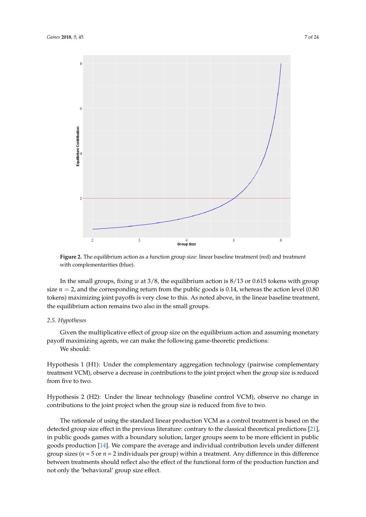<span id="page-6-1"></span>

**Figure 2.** The equilibrium action as a function group size: linear baseline treatment (red) and treatment with complementarities (blue).

In the small groups, fixing *w* at 3/8, the equilibrium action is 8/13 or 0.615 tokens with group size  $n = 2$ , and the corresponding return from the public goods is 0.14, whereas the action level (0.80) tokens) maximizing joint payoffs is very close to this. As noted above, in the linear baseline treatment, the equilibrium action remains two also in the small groups.

#### <span id="page-6-0"></span>*2.5. Hypotheses*

Given the multiplicative effect of group size on the equilibrium action and assuming monetary payoff maximizing agents, we can make the following game-theoretic predictions: We should:

Hypothesis 1 (H1): Under the complementary aggregation technology (pairwise complementary treatment VCM), observe a decrease in contributions to the joint project when the group size is reduced from five to two.

Hypothesis 2 (H2): Under the linear technology (baseline control VCM), observe no change in contributions to the joint project when the group size is reduced from five to two.

The rationale of using the standard linear production VCM as a control treatment is based on the detected group size effect in the previous literature: contrary to the classical theoretical predictions [\[21\]](#page-22-19), in public goods games with a boundary solution, larger groups seem to be more efficient in public goods production [\[14\]](#page-22-12). We compare the average and individual contribution levels under different group sizes ( $n = 5$  or  $n = 2$  individuals per group) within a treatment. Any difference in this difference between treatments should reflect also the effect of the functional form of the production function and not only the 'behavioral' group size effect.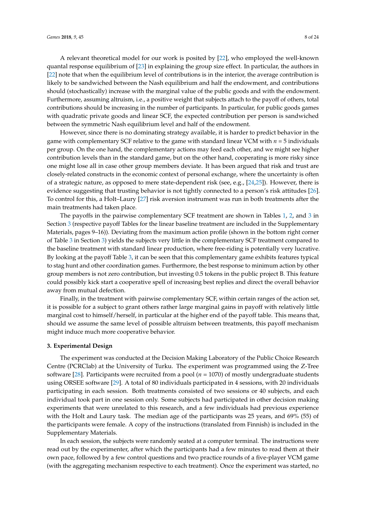A relevant theoretical model for our work is posited by [\[22\]](#page-22-20), who employed the well-known quantal response equilibrium of [\[23\]](#page-22-21) in explaining the group size effect. In particular, the authors in [\[22\]](#page-22-20) note that when the equilibrium level of contributions is in the interior, the average contribution is likely to be sandwiched between the Nash equilibrium and half the endowment, and contributions should (stochastically) increase with the marginal value of the public goods and with the endowment. Furthermore, assuming altruism, i.e., a positive weight that subjects attach to the payoff of others, total contributions should be increasing in the number of participants. In particular, for public goods games with quadratic private goods and linear SCF, the expected contribution per person is sandwiched between the symmetric Nash equilibrium level and half of the endowment.

However, since there is no dominating strategy available, it is harder to predict behavior in the game with complementary SCF relative to the game with standard linear VCM with *n* = 5 individuals per group. On the one hand, the complementary actions may feed each other, and we might see higher contribution levels than in the standard game, but on the other hand, cooperating is more risky since one might lose all in case other group members deviate. It has been argued that risk and trust are closely-related constructs in the economic context of personal exchange, where the uncertainty is often of a strategic nature, as opposed to mere state-dependent risk (see, e.g., [\[24,](#page-22-22)[25\]](#page-22-23)). However, there is evidence suggesting that trusting behavior is not tightly connected to a person's risk attitudes [\[26\]](#page-23-0). To control for this, a Holt–Laury [\[27\]](#page-23-1) risk aversion instrument was run in both treatments after the main treatments had taken place.

The payoffs in the pairwise complementary SCF treatment are shown in Tables [1,](#page-9-0) [2,](#page-9-1) and [3](#page-11-0) in Section [3](#page-7-0) (respective payoff Tables for the linear baseline treatment are included in the Supplementary Materials, pages 9–16)). Deviating from the maximum action profile (shown in the bottom right corner of Table [3](#page-11-0) in Section [3\)](#page-7-0) yields the subjects very little in the complementary SCF treatment compared to the baseline treatment with standard linear production, where free-riding is potentially very lucrative. By looking at the payoff Table [3,](#page-11-0) it can be seen that this complementary game exhibits features typical to stag hunt and other coordination games. Furthermore, the best response to minimum action by other group members is not zero contribution, but investing 0.5 tokens in the public project B. This feature could possibly kick start a cooperative spell of increasing best replies and direct the overall behavior away from mutual defection.

Finally, in the treatment with pairwise complementary SCF, within certain ranges of the action set, it is possible for a subject to grant others rather large marginal gains in payoff with relatively little marginal cost to himself/herself, in particular at the higher end of the payoff table. This means that, should we assume the same level of possible altruism between treatments, this payoff mechanism might induce much more cooperative behavior.

#### <span id="page-7-0"></span>**3. Experimental Design**

The experiment was conducted at the Decision Making Laboratory of the Public Choice Research Centre (PCRClab) at the University of Turku. The experiment was programmed using the Z-Tree software [\[28\]](#page-23-2). Participants were recruited from a pool (*n* = 1070) of mostly undergraduate students using ORSEE software [\[29\]](#page-23-3). A total of 80 individuals participated in 4 sessions, with 20 individuals participating in each session. Both treatments consisted of two sessions or 40 subjects, and each individual took part in one session only. Some subjects had participated in other decision making experiments that were unrelated to this research, and a few individuals had previous experience with the Holt and Laury task. The median age of the participants was 25 years, and 69% (55) of the participants were female. A copy of the instructions (translated from Finnish) is included in the Supplementary Materials.

In each session, the subjects were randomly seated at a computer terminal. The instructions were read out by the experimenter, after which the participants had a few minutes to read them at their own pace, followed by a few control questions and two practice rounds of a five-player VCM game (with the aggregating mechanism respective to each treatment). Once the experiment was started, no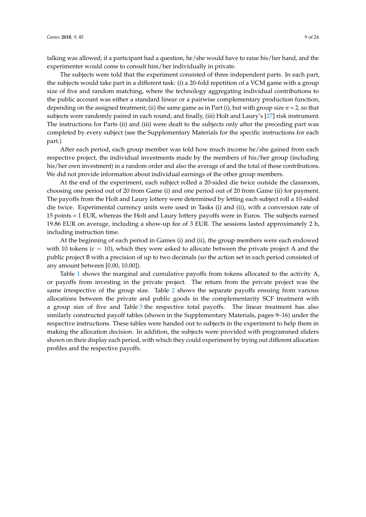talking was allowed; if a participant had a question, he/she would have to raise his/her hand, and the experimenter would come to consult him/her individually in private.

The subjects were told that the experiment consisted of three independent parts. In each part, the subjects would take part in a different task: (i) a 20-fold repetition of a VCM game with a group size of five and random matching, where the technology aggregating individual contributions to the public account was either a standard linear or a pairwise complementary production function, depending on the assigned treatment; (ii) the same game as in Part (i), but with group size *n* = 2, so that subjects were randomly paired in each round; and finally, (iii) Holt and Laury's [\[27\]](#page-23-1) risk instrument. The instructions for Parts (ii) and (iii) were dealt to the subjects only after the preceding part was completed by every subject (see the Supplementary Materials for the specific instructions for each part.)

After each period, each group member was told how much income he/she gained from each respective project, the individual investments made by the members of his/her group (including his/her own investment) in a random order and also the average of and the total of these contributions. We did not provide information about individual earnings of the other group members.

At the end of the experiment, each subject rolled a 20-sided die twice outside the classroom, choosing one period out of 20 from Game (i) and one period out of 20 from Game (ii) for payment. The payoffs from the Holt and Laury lottery were determined by letting each subject roll a 10-sided die twice. Experimental currency units were used in Tasks (i) and (ii), with a conversion rate of 15 points = 1 EUR, whereas the Holt and Laury lottery payoffs were in Euros. The subjects earned 19.86 EUR on average, including a show-up fee of 3 EUR. The sessions lasted approximately 2 h, including instruction time.

At the beginning of each period in Games (i) and (ii), the group members were each endowed with 10 tokens ( $e = 10$ ), which they were asked to allocate between the private project A and the public project B with a precision of up to two decimals (so the action set in each period consisted of any amount between [0.00, 10.00]).

Table [1](#page-9-0) shows the marginal and cumulative payoffs from tokens allocated to the activity A, or payoffs from investing in the private project. The return from the private project was the same irrespective of the group size. Table [2](#page-9-1) shows the separate payoffs ensuing from various allocations between the private and public goods in the complementarity SCF treatment with a group size of five and Table [3](#page-11-0) the respective total payoffs. The linear treatment has also similarly constructed payoff tables (shown in the Supplementary Materials, pages 9–16) under the respective instructions. These tables were handed out to subjects in the experiment to help them in making the allocation decision. In addition, the subjects were provided with programmed sliders shown on their display each period, with which they could experiment by trying out different allocation profiles and the respective payoffs.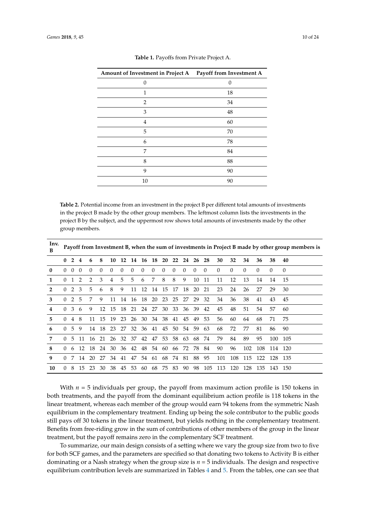<span id="page-9-0"></span>

| Amount of Investment in Project A Payoff from Investment A |    |
|------------------------------------------------------------|----|
| 0                                                          | 0  |
| 1                                                          | 18 |
| $\overline{2}$                                             | 34 |
| 3                                                          | 48 |
| 4                                                          | 60 |
| 5                                                          | 70 |
| 6                                                          | 78 |
| 7                                                          | 84 |
| 8                                                          | 88 |
| 9                                                          | 90 |
| 10                                                         | 90 |

**Table 1.** Payoffs from Private Project A.

<span id="page-9-1"></span>**Table 2.** Potential income from an investment in the project B per different total amounts of investments in the project B made by the other group members. The leftmost column lists the investments in the project B by the subject, and the uppermost row shows total amounts of investments made by the other group members.

| Inv.<br>в    |          | Payoff from Investment B, when the sum of investments in Project B made by other group members is |                |          |                 |          |                |          |             |          |          |          |                |          |          |          |          |          |          |     |          |
|--------------|----------|---------------------------------------------------------------------------------------------------|----------------|----------|-----------------|----------|----------------|----------|-------------|----------|----------|----------|----------------|----------|----------|----------|----------|----------|----------|-----|----------|
|              | 0        | $\overline{2}$                                                                                    | $\overline{4}$ | 6        | 8               | 10       | 12             | -14      | - 16        | - 18     | 20       | 22       | 24             | 26       | 28       | 30       | 32       | 34       | 36       | 38  | 40       |
| $\mathbf{0}$ |          | $0 \quad 0$                                                                                       | $\Omega$       | $\Omega$ | $\Omega$        | $\Omega$ | $\Omega$       | $\Omega$ | $\Omega$    | $\Omega$ | $\Omega$ | $\Omega$ | $\Omega$       | $\Omega$ | $\Omega$ | $\Omega$ | $\Omega$ | $\Omega$ | $\Omega$ | 0   | $\Omega$ |
| 1            | $\Omega$ | 1 2                                                                                               |                | 2        | 3               | 4        | 5              | 5        | 6           | 7        | 8        | 8        | 9              | 10       | 11       | 11       | 12       | 13       | 14       | 14  | 15       |
| 2            | 0        | 2                                                                                                 | 3              | 5        | 6               | 8        | 9              | 11       | 12          | -14      | 15       | 17       | 18             | 20       | 21       | 23       | 24       | 26       | 27       | 29  | 30       |
| 3            | 0        |                                                                                                   | 2 5            | 7        | 9               | 11       | 14             | 16       |             | 18 20 23 |          | 25       | 27             | 29       | 32       | 34       | 36       | 38       | 41       | 43  | 45       |
| 4            | $\Omega$ | 3                                                                                                 | 6              | 9        | 12 <sup>7</sup> | - 15     | 18             |          | 21 24 27    |          | 30       |          | 33 36 39       |          | 42       | 45       | 48       | 51       | 54       | 57  | 60       |
| 5            | $\Omega$ | $\overline{4}$                                                                                    | 8              |          | 11 15           | - 19     | 23             | 26       |             |          |          |          | 30 34 38 41 45 | 49       | 53       | 56       | 60       | 64       | 68       | 71  | 75       |
| 6            | $\Omega$ | 5                                                                                                 | 9              | 14       | 18 23           |          | 27             |          | 32 36 41 45 |          |          |          | 50 54 59       |          | 63       | 68       | 72       | 77       | 81       | 86  | 90       |
| 7            | $\Omega$ | 5.                                                                                                | 11             |          | 16 21 26        |          |                | 32 37    |             | 42 47    |          |          | 53 58 63       | 68       | 74       | 79       | 84       | 89       | 95       | 100 | 105      |
| 8            | $\Omega$ | -6                                                                                                |                | 12 18 24 |                 |          | 30 36 42 48 54 |          |             |          |          |          | 60 66 72 78    |          | 84       | 90       | 96       | 102      | 108      | 114 | -120     |
| 9            | $\Omega$ | 7                                                                                                 | 14             | 20       | 27              | 34       | 41             | 47       |             |          |          |          | 54 61 68 74 81 | 88       | 95       | 101      | 108      | 115      | 122      | 128 | -135     |
| 10           | $\Omega$ | 8                                                                                                 | 15             | 23       | 30              |          | 38 45          | 53       | -60         |          | 68 75 83 |          | 90             | 98       | 105      | 113      | 120      | 128      | -135     | 143 | - 150    |

With  $n = 5$  individuals per group, the payoff from maximum action profile is 150 tokens in both treatments, and the payoff from the dominant equilibrium action profile is 118 tokens in the linear treatment, whereas each member of the group would earn 94 tokens from the symmetric Nash equilibrium in the complementary treatment. Ending up being the sole contributor to the public goods still pays off 30 tokens in the linear treatment, but yields nothing in the complementary treatment. Benefits from free-riding grow in the sum of contributions of other members of the group in the linear treatment, but the payoff remains zero in the complementary SCF treatment.

To summarize, our main design consists of a setting where we vary the group size from two to five for both SCF games, and the parameters are specified so that donating two tokens to Activity B is either dominating or a Nash strategy when the group size is  $n = 5$  individuals. The design and respective equilibrium contribution levels are summarized in Tables [4](#page-12-0) and [5.](#page-12-1) From the tables, one can see that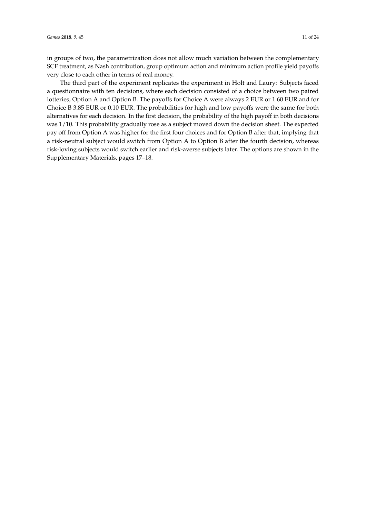in groups of two, the parametrization does not allow much variation between the complementary SCF treatment, as Nash contribution, group optimum action and minimum action profile yield payoffs very close to each other in terms of real money.

The third part of the experiment replicates the experiment in Holt and Laury: Subjects faced a questionnaire with ten decisions, where each decision consisted of a choice between two paired lotteries, Option A and Option B. The payoffs for Choice A were always 2 EUR or 1.60 EUR and for Choice B 3.85 EUR or 0.10 EUR. The probabilities for high and low payoffs were the same for both alternatives for each decision. In the first decision, the probability of the high payoff in both decisions was 1/10. This probability gradually rose as a subject moved down the decision sheet. The expected pay off from Option A was higher for the first four choices and for Option B after that, implying that a risk-neutral subject would switch from Option A to Option B after the fourth decision, whereas risk-loving subjects would switch earlier and risk-averse subjects later. The options are shown in the Supplementary Materials, pages 17–18.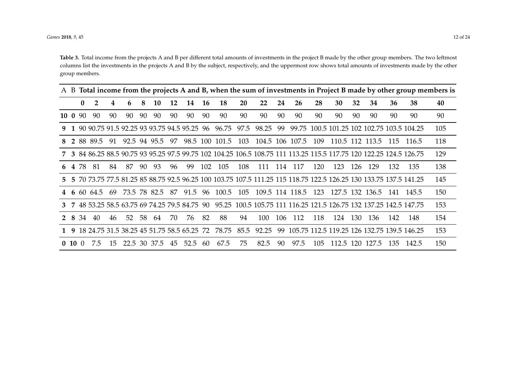*Games* **2018**, 9, 45 12 of 24 12 of 24 12 of 24 12 of 24 12 of 24 12 of 24 12 of 24 12 of 24 12 of 24 12 of 24 12 of 24 12 of 24 12 of 24 12 of 24 12 of 24 12 of 24 12 of 24 12 of 24 12 of 24 12 of 24 12 of 24 12 of 24 12

**Table 3.** Total income from the projects A and B per different total amounts of investments in the project B made by the other group members. The two leftmost columns list the investments in the projects A and B by the subject, respectively, and the uppermost row shows total amounts of investments made by the other group members.

<span id="page-11-0"></span>

|    |          |               |                |     |    |    |              |    |      |     |                                                      |      |       |     |                 |     |                 |     |                 |      |                                                                                                                     | A B Total income from the projects A and B, when the sum of investments in Project B made by other group members is |
|----|----------|---------------|----------------|-----|----|----|--------------|----|------|-----|------------------------------------------------------|------|-------|-----|-----------------|-----|-----------------|-----|-----------------|------|---------------------------------------------------------------------------------------------------------------------|---------------------------------------------------------------------------------------------------------------------|
|    |          | $\mathbf{0}$  | $\overline{2}$ | 4   | 6  | 8  | 10           | 12 | 14   | 16  | 18                                                   | 20   | 22    | 24  | 26              | 28  | 30              | 32  | 34              | 36   | 38                                                                                                                  | 40                                                                                                                  |
|    |          | $10 \t0 \t90$ | 90             | 90  | 90 | 90 | 90           | 90 | 90   | 90  | 90                                                   | 90   | 90    | 90  | 90              | 90  | 90              | 90  | 90              | 90   | 90                                                                                                                  | 90                                                                                                                  |
|    |          |               |                |     |    |    |              |    |      |     | 9 1 90 90.75 91.5 92.25 93 93.75 94.5 95.25 96 96.75 | 97.5 | 98.25 | 99  |                 |     |                 |     |                 |      | 99.75 100.5 101.25 102 102.75 103.5 104.25                                                                          | 105                                                                                                                 |
| 8  |          |               | 2 88 89.5      | -91 |    |    | 92.5 94 95.5 | 97 |      |     | 98.5 100 101.5                                       | 103  |       |     | 104.5 106 107.5 | 109 | 110.5 112 113.5 |     |                 | -115 | 116.5                                                                                                               | 118                                                                                                                 |
|    |          |               |                |     |    |    |              |    |      |     |                                                      |      |       |     |                 |     |                 |     |                 |      | 7 3 84 86.25 88.5 90.75 93 95.25 97.5 99.75 102 104.25 106.5 108.75 111 113.25 115.5 117.75 120 122.25 124.5 126.75 | 129                                                                                                                 |
|    |          | 6 4 78        | -81            | 84  | 87 | 90 | 93           | 96 | -99  | 102 | 105                                                  | 108  | 111   | 114 | 117             | 120 | 123             | 126 | 129             | 132  | 135                                                                                                                 | 138                                                                                                                 |
| 5. |          |               |                |     |    |    |              |    |      |     |                                                      |      |       |     |                 |     |                 |     |                 |      | 5 70 73.75 77.5 81.25 85 88.75 92.5 96.25 100 103.75 107.5 111.25 115 118.75 122.5 126.25 130 133.75 137.5 141.25   | 145                                                                                                                 |
| 4  |          |               | 6 60 64.5      | -69 |    |    | 73.5 78 82.5 | 87 | 91.5 | 96  | 100.5                                                | 105  |       |     | 109.5 114 118.5 | 123 |                 |     | 127.5 132 136.5 | -141 | 145.5                                                                                                               | 150                                                                                                                 |
|    |          |               |                |     |    |    |              |    |      |     |                                                      |      |       |     |                 |     |                 |     |                 |      | 3 7 48 53.25 58.5 63.75 69 74.25 79.5 84.75 90 95.25 100.5 105.75 111 116.25 121.5 126.75 132 137.25 142.5 147.75   | 153                                                                                                                 |
|    | 2 8      | 34            | 40             | 46  | 52 | 58 | 64           | 70 | 76   | 82  | 88                                                   | 94   | 100   | 106 | 112             | 118 | 124             | 130 | 136             | 142  | 148                                                                                                                 | 154                                                                                                                 |
|    |          |               |                |     |    |    |              |    |      |     | 1 9 18 24.75 31.5 38.25 45 51.75 58.5 65.25 72 78.75 | 85.5 | 92.25 |     |                 |     |                 |     |                 |      | 99 105.75 112.5 119.25 126 132.75 139.5 146.25                                                                      | 153                                                                                                                 |
|    | 0, 10, 0 |               | 7.5            | 15  |    |    | 22.5 30 37.5 | 45 | 52.5 | 60  | 67.5                                                 | 75   | 82.5  | 90  | 97.5            | 105 | 112.5           | 120 | 127.5           | 135  | 142.5                                                                                                               | 150                                                                                                                 |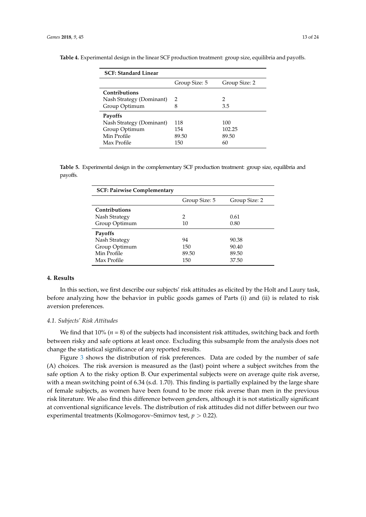| <b>SCF: Standard Linear</b> |               |               |  |  |  |  |  |
|-----------------------------|---------------|---------------|--|--|--|--|--|
|                             | Group Size: 5 | Group Size: 2 |  |  |  |  |  |
| Contributions               |               |               |  |  |  |  |  |
| Nash Strategy (Dominant)    | $\mathcal{L}$ | 2             |  |  |  |  |  |
| Group Optimum               | 8             | 3.5           |  |  |  |  |  |
| Payoffs                     |               |               |  |  |  |  |  |
| Nash Strategy (Dominant)    | 118           | 100           |  |  |  |  |  |
| Group Optimum               | 154           | 102.25        |  |  |  |  |  |
| Min Profile                 | 89.50         | 89.50         |  |  |  |  |  |
| Max Profile                 | 150           | 60            |  |  |  |  |  |

<span id="page-12-0"></span>**Table 4.** Experimental design in the linear SCF production treatment: group size, equilibria and payoffs.

<span id="page-12-1"></span>**Table 5.** Experimental design in the complementary SCF production treatment: group size, equilibria and payoffs.

| <b>SCF: Pairwise Complementary</b> |               |               |
|------------------------------------|---------------|---------------|
|                                    | Group Size: 5 | Group Size: 2 |
| Contributions                      |               |               |
| Nash Strategy                      | 2             | 0.61          |
| Group Optimum                      | 10            | 0.80          |
| Payoffs                            |               |               |
| Nash Strategy                      | 94            | 90.38         |
| Group Optimum                      | 150           | 90.40         |
| Min Profile                        | 89.50         | 89.50         |
| Max Profile                        | 150           | 37.50         |

#### **4. Results**

In this section, we first describe our subjects' risk attitudes as elicited by the Holt and Laury task, before analyzing how the behavior in public goods games of Parts (i) and (ii) is related to risk aversion preferences.

#### *4.1. Subjects' Risk Attitudes*

We find that  $10\%$  ( $n = 8$ ) of the subjects had inconsistent risk attitudes, switching back and forth between risky and safe options at least once. Excluding this subsample from the analysis does not change the statistical significance of any reported results.

Figure [3](#page-13-0) shows the distribution of risk preferences. Data are coded by the number of safe (A) choices. The risk aversion is measured as the (last) point where a subject switches from the safe option A to the risky option B. Our experimental subjects were on average quite risk averse, with a mean switching point of 6.34 (s.d. 1.70). This finding is partially explained by the large share of female subjects, as women have been found to be more risk averse than men in the previous risk literature. We also find this difference between genders, although it is not statistically significant at conventional significance levels. The distribution of risk attitudes did not differ between our two experimental treatments (Kolmogorov–Smirnov test, *p* > 0.22).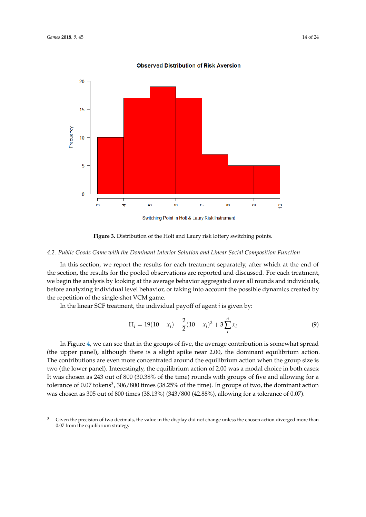<span id="page-13-0"></span>

**Observed Distribution of Risk Aversion** 

## **Figure 3.** Distribution of the Holt and Laury risk lottery switching points.

#### *4.2. Public Goods Game with the Dominant Interior Solution and Linear Social Composition Function*

In this section, we report the results for each treatment separately, after which at the end of the section, the results for the pooled observations are reported and discussed. For each treatment, we begin the analysis by looking at the average behavior aggregated over all rounds and individuals, before analyzing individual level behavior, or taking into account the possible dynamics created by the repetition of the single-shot VCM game.

In the linear SCF treatment, the individual payoff of agent *i* is given by:

$$
\Pi_i = 19(10 - x_i) - \frac{2}{2}(10 - x_i)^2 + 3\sum_{i}^{n} x_i
$$
\n(9)

In Figure [4,](#page-14-0) we can see that in the groups of five, the average contribution is somewhat spread (the upper panel), although there is a slight spike near 2.00, the dominant equilibrium action. The contributions are even more concentrated around the equilibrium action when the group size is two (the lower panel). Interestingly, the equilibrium action of 2.00 was a modal choice in both cases: It was chosen as 243 out of 800 (30.38% of the time) rounds with groups of five and allowing for a tolerance of 0.07 tokens<sup>3</sup>, 306/800 times (38.25% of the time). In groups of two, the dominant action was chosen as 305 out of 800 times (38.13%) (343/800 (42.88%), allowing for a tolerance of 0.07).

<sup>&</sup>lt;sup>3</sup> Given the precision of two decimals, the value in the display did not change unless the chosen action diverged more than 0.07 from the equilibrium strategy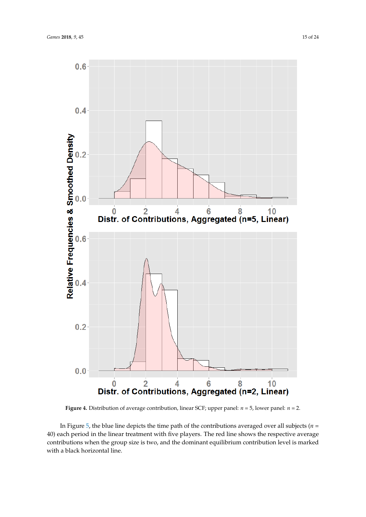<span id="page-14-0"></span>

**Figure 4.** Distribution of average contribution, linear SCF; upper panel: *n* = 5, lower panel: *n* = 2.

In Figure [5,](#page-15-0) the blue line depicts the time path of the contributions averaged over all subjects ( $n =$ 40) each period in the linear treatment with five players. The red line shows the respective average contributions when the group size is two, and the dominant equilibrium contribution level is marked with a black horizontal line.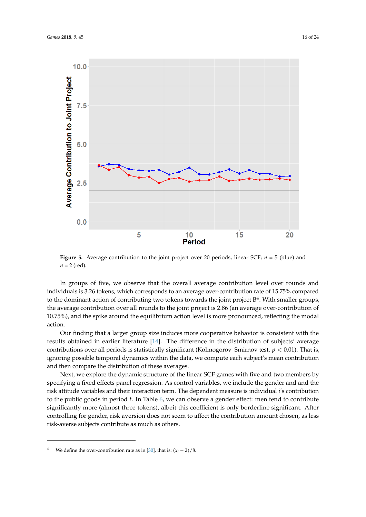

<span id="page-15-0"></span>

**Figure 5.** Average contribution to the joint project over 20 periods, linear SCF;  $n = 5$  (blue) and  $n = 2$  (red).

In groups of five, we observe that the overall average contribution level over rounds and individuals is 3.26 tokens, which corresponds to an average over-contribution rate of 15.75% compared to the dominant action of contributing two tokens towards the joint project  $B^4$ . With smaller groups, the average contribution over all rounds to the joint project is 2.86 (an average over-contribution of 10.75%), and the spike around the equilibrium action level is more pronounced, reflecting the modal action.

Our finding that a larger group size induces more cooperative behavior is consistent with the results obtained in earlier literature [\[14\]](#page-22-12). The difference in the distribution of subjects' average contributions over all periods is statistically significant (Kolmogorov–Smirnov test, *p* < 0.01). That is, ignoring possible temporal dynamics within the data, we compute each subject's mean contribution and then compare the distribution of these averages.

Next, we explore the dynamic structure of the linear SCF games with five and two members by specifying a fixed effects panel regression. As control variables, we include the gender and and the risk attitude variables and their interaction term. The dependent measure is individual *i*'s contribution to the public goods in period *t*. In Table [6,](#page-16-0) we can observe a gender effect: men tend to contribute significantly more (almost three tokens), albeit this coefficient is only borderline significant. After controlling for gender, risk aversion does not seem to affect the contribution amount chosen, as less risk-averse subjects contribute as much as others.

<sup>&</sup>lt;sup>4</sup> We define the over-contribution rate as in [\[30\]](#page-23-4), that is:  $(x_i - 2)/8$ .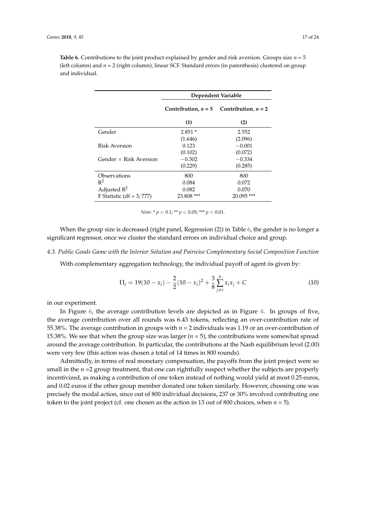<span id="page-16-0"></span>**Table 6.** Contributions to the joint product explained by gender and risk aversion. Groups size  $n = 5$ (left column) and *n* = 2 (right column), linear SCF. Standard errors (in parenthesis) clustered on group and individual.

|                               | Dependent Variable |                                             |  |  |  |  |  |
|-------------------------------|--------------------|---------------------------------------------|--|--|--|--|--|
|                               |                    | Contribution, $n = 5$ Contribution, $n = 2$ |  |  |  |  |  |
|                               | (1)                | (2)                                         |  |  |  |  |  |
| Gender                        | $2.851*$           | 2.552                                       |  |  |  |  |  |
|                               | (1.646)            | (2.096)                                     |  |  |  |  |  |
| Risk Aversion                 | 0.123              | $-0.001$                                    |  |  |  |  |  |
|                               | (0.102)            | (0.072)                                     |  |  |  |  |  |
| Gender $\times$ Risk Aversion | $-0.302$           | $-0.334$                                    |  |  |  |  |  |
|                               | (0.229)            | (0.285)                                     |  |  |  |  |  |
| Observations                  | 800                | 800                                         |  |  |  |  |  |
| $R^2$                         | 0.084              | 0.072                                       |  |  |  |  |  |
| Adjusted $R^2$                | 0.082              | 0.070                                       |  |  |  |  |  |
| F Statistic $(df = 3; 777)$   | 23.808 ***         | $20.095$ ***                                |  |  |  |  |  |

*Note:* \* *p* < 0.1; \*\* *p* < 0.05; \*\*\* *p* < 0.01.

When the group size is decreased (right panel, Regression (2)) in Table [6,](#page-16-0) the gender is no longer a significant regressor, once we cluster the standard errors on individual choice and group.

#### *4.3. Public Goods Game with the Interior Solution and Pairwise Complementary Social Composition Function*

With complementary aggregation technology, the individual payoff of agent *i*is given by:

$$
\Pi_i = 19(10 - x_i) - \frac{2}{2}(10 - x_i)^2 + \frac{3}{8} \sum_{j \neq i}^{n} x_i x_j + C \tag{10}
$$

in our experiment.

In Figure [6,](#page-17-0) the average contribution levels are depicted as in Figure [4.](#page-14-0) In groups of five, the average contribution over all rounds was 6.43 tokens, reflecting an over-contribution rate of 55.38%. The average contribution in groups with *n* = 2 individuals was 1.19 or an over-contribution of 15.38%. We see that when the group size was larger (*n* = 5), the contributions were somewhat spread around the average contribution. In particular, the contributions at the Nash equilibrium level (2.00) were very few (this action was chosen a total of 14 times in 800 rounds).

Admittedly, in terms of real monetary compensation, the payoffs from the joint project were so small in the *n* =2 group treatment, that one can rightfully suspect whether the subjects are properly incentivized, as making a contribution of one token instead of nothing would yield at most 0.25 euros, and 0.02 euros if the other group member donated one token similarly. However, choosing one was precisely the modal action, since out of 800 individual decisions, 237 or 30% involved contributing one token to the joint project (cf. one chosen as the action in 13 out of 800 choices, when *n* = 5).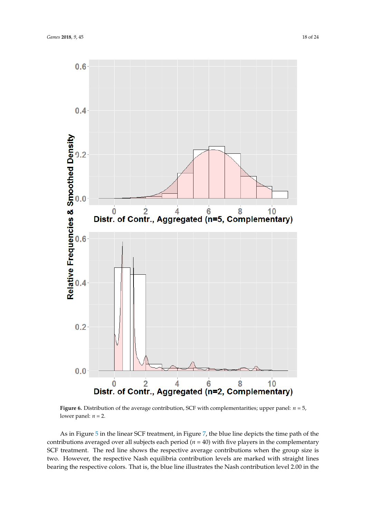

<span id="page-17-0"></span>

**Figure 6.** Distribution of the average contribution, SCF with complementarities; upper panel:  $n = 5$ , lower panel:  $n = 2$ .

As in Figure [5](#page-15-0) in the linear SCF treatment, in Figure [7,](#page-18-0) the blue line depicts the time path of the contributions averaged over all subjects each period  $(n = 40)$  with five players in the complementary SCF treatment. The red line shows the respective average contributions when the group size is two. However, the respective Nash equilibria contribution levels are marked with straight lines bearing the respective colors. That is, the blue line illustrates the Nash contribution level 2.00 in the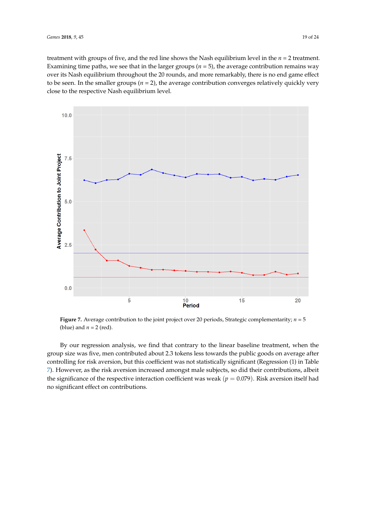treatment with groups of five, and the red line shows the Nash equilibrium level in the *n* = 2 treatment. Examining time paths, we see that in the larger groups  $(n = 5)$ , the average contribution remains way over its Nash equilibrium throughout the 20 rounds, and more remarkably, there is no end game effect to be seen. In the smaller groups (*n* = 2), the average contribution converges relatively quickly very close to the respective Nash equilibrium level.

<span id="page-18-0"></span>

**Figure 7.** Average contribution to the joint project over 20 periods, Strategic complementarity; *n* = 5 (blue) and  $n = 2$  (red).

By our regression analysis, we find that contrary to the linear baseline treatment, when the group size was five, men contributed about 2.3 tokens less towards the public goods on average after controlling for risk aversion, but this coefficient was not statistically significant (Regression (1) in Table [7\)](#page-19-0). However, as the risk aversion increased amongst male subjects, so did their contributions, albeit the significance of the respective interaction coefficient was weak ( $p = 0.079$ ). Risk aversion itself had no significant effect on contributions.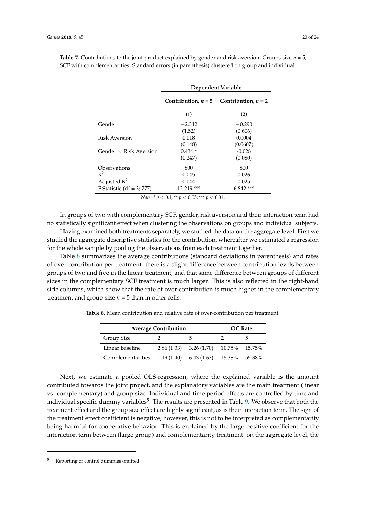|                               | Dependent Variable    |                       |  |  |  |  |  |
|-------------------------------|-----------------------|-----------------------|--|--|--|--|--|
|                               | Contribution, $n = 5$ | Contribution, $n = 2$ |  |  |  |  |  |
|                               | (1)                   | (2)                   |  |  |  |  |  |
| Gender                        | $-2.312$              | $-0.290$              |  |  |  |  |  |
|                               | (1.52)                | (0.606)               |  |  |  |  |  |
| Risk Aversion                 | 0.018                 | 0.0004                |  |  |  |  |  |
|                               | (0.148)               | (0.0607)              |  |  |  |  |  |
| Gender $\times$ Risk Aversion | $0.434*$              | $-0.028$              |  |  |  |  |  |
|                               | (0.247)               | (0.080)               |  |  |  |  |  |
| Observations                  | 800                   | 800                   |  |  |  |  |  |
| $R^2$                         | 0.045                 | 0.026                 |  |  |  |  |  |
| Adjusted $R^2$                | 0.044                 | 0.025                 |  |  |  |  |  |
| F Statistic (df = $3$ ; 777)  | 12.219 ***            | $6.842***$            |  |  |  |  |  |

<span id="page-19-0"></span>**Table 7.** Contributions to the joint product explained by gender and risk aversion. Groups size  $n = 5$ , SCF with complementarities. Standard errors (in parenthesis) clustered on group and individual.

*Note:* \* *p* < 0.1; \*\* *p* < 0.05; \*\*\* *p* < 0.01.

In groups of two with complementary SCF, gender, risk aversion and their interaction term had no statistically significant effect when clustering the observations on groups and individual subjects.

Having examined both treatments separately, we studied the data on the aggregate level. First we studied the aggregate descriptive statistics for the contribution, whereafter we estimated a regression for the whole sample by pooling the observations from each treatment together.

Table [8](#page-19-1) summarizes the average contributions (standard deviations in parenthesis) and rates of over-contribution per treatment: there is a slight difference between contribution levels between groups of two and five in the linear treatment, and that same difference between groups of different sizes in the complementary SCF treatment is much larger. This is also reflected in the right-hand side columns, which show that the rate of over-contribution is much higher in the complementary treatment and group size  $n = 5$  than in other cells.

<span id="page-19-1"></span>**Table 8.** Mean contribution and relative rate of over-contribution per treatment.

|                                                         | <b>Average Contribution</b> |                                               |  |  |  |  |  |  |  |  |
|---------------------------------------------------------|-----------------------------|-----------------------------------------------|--|--|--|--|--|--|--|--|
| Group Size                                              |                             | h                                             |  |  |  |  |  |  |  |  |
| Linear Baseline                                         |                             | $2.86(1.33)$ $3.26(1.70)$ $10.75\%$ $15.75\%$ |  |  |  |  |  |  |  |  |
| Complementarities 1.19 (1.40) 6.43 (1.63) 15.38% 55.38% |                             |                                               |  |  |  |  |  |  |  |  |

Next, we estimate a pooled OLS-regression, where the explained variable is the amount contributed towards the joint project, and the explanatory variables are the main treatment (linear vs. complementary) and group size. Individual and time period effects are controlled by time and individual specific dummy variables<sup>5</sup>. The results are presented in Table [9.](#page-20-0) We observe that both the treatment effect and the group size effect are highly significant, as is their interaction term. The sign of the treatment effect coefficient is negative; however, this is not to be interpreted as complementarity being harmful for cooperative behavior: This is explained by the large positive coefficient for the interaction term between (large group) and complementarity treatment: on the aggregate level, the

<sup>5</sup> Reporting of control dummies omitted.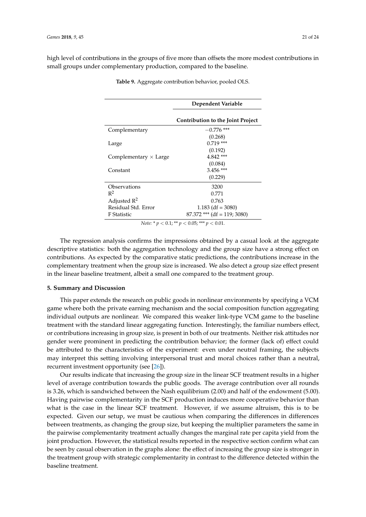<span id="page-20-0"></span>high level of contributions in the groups of five more than offsets the more modest contributions in small groups under complementary production, compared to the baseline.

| Dependent Variable                |  |  |  |  |  |  |
|-----------------------------------|--|--|--|--|--|--|
| Contribution to the Joint Project |  |  |  |  |  |  |
| $-0.776$ ***                      |  |  |  |  |  |  |
| (0.268)                           |  |  |  |  |  |  |
| $0.719$ ***                       |  |  |  |  |  |  |
| (0.192)                           |  |  |  |  |  |  |
| $4.842***$                        |  |  |  |  |  |  |
| (0.084)                           |  |  |  |  |  |  |
| $3.456$ ***                       |  |  |  |  |  |  |
| (0.229)                           |  |  |  |  |  |  |
| 3200                              |  |  |  |  |  |  |
| 0.771                             |  |  |  |  |  |  |
| 0.763                             |  |  |  |  |  |  |
| $1.183$ (df = 3080)               |  |  |  |  |  |  |
| $87.372$ *** (df = 119; 3080)     |  |  |  |  |  |  |
|                                   |  |  |  |  |  |  |

**Table 9.** Aggregate contribution behavior, pooled OLS.

*Note:* \* *p* < 0.1; \*\* *p* < 0.05; \*\*\* *p* < 0.01.

The regression analysis confirms the impressions obtained by a casual look at the aggregate descriptive statistics: both the aggregation technology and the group size have a strong effect on contributions. As expected by the comparative static predictions, the contributions increase in the complementary treatment when the group size is increased. We also detect a group size effect present in the linear baseline treatment, albeit a small one compared to the treatment group.

#### **5. Summary and Discussion**

This paper extends the research on public goods in nonlinear environments by specifying a VCM game where both the private earning mechanism and the social composition function aggregating individual outputs are nonlinear. We compared this weaker link-type VCM game to the baseline treatment with the standard linear aggregating function. Interestingly, the familiar numbers effect, or contributions increasing in group size, is present in both of our treatments. Neither risk attitudes nor gender were prominent in predicting the contribution behavior; the former (lack of) effect could be attributed to the characteristics of the experiment: even under neutral framing, the subjects may interpret this setting involving interpersonal trust and moral choices rather than a neutral, recurrent investment opportunity (see [\[26\]](#page-23-0)).

Our results indicate that increasing the group size in the linear SCF treatment results in a higher level of average contribution towards the public goods. The average contribution over all rounds is 3.26, which is sandwiched between the Nash equilibrium (2.00) and half of the endowment (5.00). Having pairwise complementarity in the SCF production induces more cooperative behavior than what is the case in the linear SCF treatment. However, if we assume altruism, this is to be expected. Given our setup, we must be cautious when comparing the differences in differences between treatments, as changing the group size, but keeping the multiplier parameters the same in the pairwise complementarity treatment actually changes the marginal rate per capita yield from the joint production. However, the statistical results reported in the respective section confirm what can be seen by casual observation in the graphs alone: the effect of increasing the group size is stronger in the treatment group with strategic complementarity in contrast to the difference detected within the baseline treatment.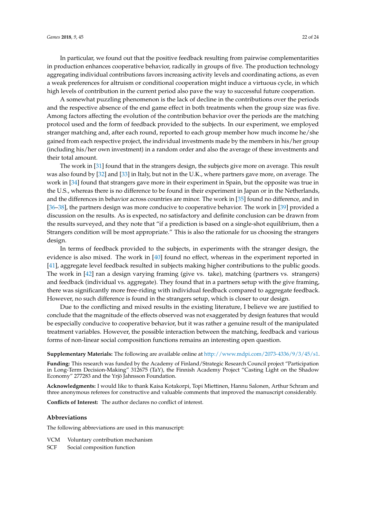In particular, we found out that the positive feedback resulting from pairwise complementarities in production enhances cooperative behavior, radically in groups of five. The production technology aggregating individual contributions favors increasing activity levels and coordinating actions, as even a weak preferences for altruism or conditional cooperation might induce a virtuous cycle, in which high levels of contribution in the current period also pave the way to successful future cooperation.

A somewhat puzzling phenomenon is the lack of decline in the contributions over the periods and the respective absence of the end game effect in both treatments when the group size was five. Among factors affecting the evolution of the contribution behavior over the periods are the matching protocol used and the form of feedback provided to the subjects. In our experiment, we employed stranger matching and, after each round, reported to each group member how much income he/she gained from each respective project, the individual investments made by the members in his/her group (including his/her own investment) in a random order and also the average of these investments and their total amount.

The work in [\[31\]](#page-23-5) found that in the strangers design, the subjects give more on average. This result was also found by [\[32\]](#page-23-6) and [\[33\]](#page-23-7) in Italy, but not in the U.K., where partners gave more, on average. The work in [\[34\]](#page-23-8) found that strangers gave more in their experiment in Spain, but the opposite was true in the U.S., whereas there is no difference to be found in their experiment in Japan or in the Netherlands, and the differences in behavior across countries are minor. The work in [\[35\]](#page-23-9) found no difference, and in [\[36–](#page-23-10)[38\]](#page-23-11), the partners design was more conducive to cooperative behavior. The work in [\[39\]](#page-23-12) provided a discussion on the results. As is expected, no satisfactory and definite conclusion can be drawn from the results surveyed, and they note that "if a prediction is based on a single-shot equilibrium, then a Strangers condition will be most appropriate." This is also the rationale for us choosing the strangers design.

In terms of feedback provided to the subjects, in experiments with the stranger design, the evidence is also mixed. The work in [\[40\]](#page-23-13) found no effect, whereas in the experiment reported in [\[41\]](#page-23-14), aggregate level feedback resulted in subjects making higher contributions to the public goods. The work in [\[42\]](#page-23-15) ran a design varying framing (give vs. take), matching (partners vs. strangers) and feedback (individual vs. aggregate). They found that in a partners setup with the give framing, there was significantly more free-riding with individual feedback compared to aggregate feedback. However, no such difference is found in the strangers setup, which is closer to our design.

Due to the conflicting and mixed results in the existing literature, I believe we are justified to conclude that the magnitude of the effects observed was not exaggerated by design features that would be especially conducive to cooperative behavior, but it was rather a genuine result of the manipulated treatment variables. However, the possible interaction between the matching, feedback and various forms of non-linear social composition functions remains an interesting open question.

**Supplementary Materials:** The following are available online at [http://www.mdpi.com/2073-4336/9/3/45/s1.](http://www.mdpi.com/2073-4336/9/3/45/s1)

**Funding:** This research was funded by the Academy of Finland/Strategic Research Council project "Participation in Long-Term Decision-Making" 312675 (TaY), the Finnish Academy Project "Casting Light on the Shadow Economy" 277283 and the Yrjö Jahnsson Foundation.

**Acknowledgments:** I would like to thank Kaisa Kotakorpi, Topi Miettinen, Hannu Salonen, Arthur Schram and three anonymous referees for constructive and valuable comments that improved the manuscript considerably.

**Conflicts of Interest:** The author declares no conflict of interest.

#### **Abbreviations**

The following abbreviations are used in this manuscript:

- VCM Voluntary contribution mechanism
- SCF Social composition function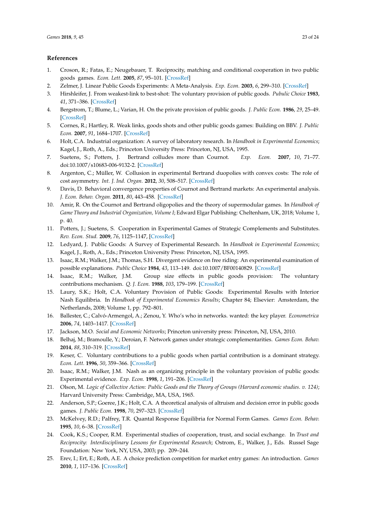#### **References**

- <span id="page-22-0"></span>1. Croson, R.; Fatas, E.; Neugebauer, T. Reciprocity, matching and conditional cooperation in two public goods games. *Econ. Lett.* **2005**, *87*, 95–101. [\[CrossRef\]](http://dx.doi.org/10.1016/j.econlet.2004.10.007)
- <span id="page-22-1"></span>2. Zelmer, J. Linear Public Goods Experiments: A Meta-Analysis. *Exp. Econ.* **2003**, *6*, 299–310. [\[CrossRef\]](http://dx.doi.org/10.1023/A:1026277420119)
- <span id="page-22-2"></span>3. Hirshleifer, J. From weakest-link to best-shot: The voluntary provision of public goods. *Pubulic Choice* **1983**, *41*, 371–386. [\[CrossRef\]](http://dx.doi.org/10.1007/BF00141070)
- <span id="page-22-3"></span>4. Bergstrom, T.; Blume, L.; Varian, H. On the private provision of public goods. *J. Public Econ.* **1986**, *29*, 25–49. [\[CrossRef\]](http://dx.doi.org/10.1016/0047-2727(86)90024-1)
- <span id="page-22-4"></span>5. Cornes, R.; Hartley, R. Weak links, goods shots and other public goods games: Building on BBV. *J. Public Econ.* **2007**, *91*, 1684–1707. [\[CrossRef\]](http://dx.doi.org/10.1016/j.jpubeco.2007.07.007)
- <span id="page-22-5"></span>6. Holt, C.A. Industrial organization: A survey of laboratory research. In *Handbook in Experimental Economics*; Kagel, J., Roth, A., Eds.; Princeton University Press: Princeton, NJ, USA, 1995.
- 7. Suetens, S.; Potters, J. Bertrand colludes more than Cournot. *Exp. Econ.* **2007**, *10*, 71–77. doi[:10.1007/s10683-006-9132-2.](https://doi.org/10.1007/s10683-006-9132-2) [\[CrossRef\]](http://dx.doi.org/10.1007/s10683-006-9132-2)
- <span id="page-22-6"></span>8. Argenton, C.; Müller, W. Collusion in experimental Bertrand duopolies with convex costs: The role of cost asymmetry. *Int. J. Ind. Organ.* **2012**, *30*, 508–517. [\[CrossRef\]](http://dx.doi.org/10.1016/j.ijindorg.2012.05.006)
- <span id="page-22-7"></span>9. Davis, D. Behavioral convergence properties of Cournot and Bertrand markets: An experimental analysis. *J. Econ. Behav. Organ.* **2011**, *80*, 443–458. [\[CrossRef\]](http://dx.doi.org/10.1016/j.jebo.2011.04.008)
- <span id="page-22-8"></span>10. Amir, R. On the Cournot and Bertrand oligopolies and the theory of supermodular games. In *Handbook of Game Theory and Industrial Organization, Volume I*; Edward Elgar Publishing: Cheltenham, UK, 2018; Volume 1, p. 40.
- <span id="page-22-9"></span>11. Potters, J.; Suetens, S. Cooperation in Experimental Games of Strategic Complements and Substitutes. *Rev. Econ. Stud.* **2009**, *76*, 1125–1147, [\[CrossRef\]](http://dx.doi.org/10.1111/j.1467-937X.2009.00548.x)
- <span id="page-22-10"></span>12. Ledyard, J. Public Goods: A Survey of Experimental Research. In *Handbook in Experimental Economics*; Kagel, J., Roth, A., Eds.; Princeton University Press: Princeton, NJ, USA, 1995.
- <span id="page-22-11"></span>13. Isaac, R.M.; Walker, J.M.; Thomas, S.H. Divergent evidence on free riding: An experimental examination of possible explanations. *Public Choice* **1984**, *43*, 113–149. doi[:10.1007/BF00140829.](https://doi.org/10.1007/BF00140829) [\[CrossRef\]](http://dx.doi.org/10.1007/BF00140829)
- <span id="page-22-12"></span>14. Isaac, R.M.; Walker, J.M. Group size effects in public goods provision: The voluntary contributions mechanism. *Q. J. Econ.* **1988**, *103*, 179–199. [\[CrossRef\]](http://dx.doi.org/10.2307/1882648)
- <span id="page-22-13"></span>15. Laury, S.K.; Holt, C.A. Voluntary Provision of Public Goods: Experimental Results with Interior Nash Equilibria. In *Handbook of Experimental Economics Results*; Chapter 84; Elsevier: Amsterdam, the Netherlands, 2008; Volume 1, pp. 792–801.
- <span id="page-22-14"></span>16. Ballester, C.; Calvó-Armengol, A.; Zenou, Y. Who's who in networks. wanted: the key player. *Econometrica* **2006**, *74*, 1403–1417. [\[CrossRef\]](http://dx.doi.org/10.1111/j.1468-0262.2006.00709.x)
- <span id="page-22-15"></span>17. Jackson, M.O. *Social and Economic Networks*; Princeton university press: Princeton, NJ, USA, 2010.
- <span id="page-22-16"></span>18. Belhaj, M.; Bramoulle, Y.; Deroian, F. Network games under strategic complementarities. *Games Econ. Behav.* **2014**, *88*, 310–319. [\[CrossRef\]](http://dx.doi.org/10.1016/j.geb.2014.10.009)
- <span id="page-22-17"></span>19. Keser, C. Voluntary contributions to a public goods when partial contribution is a dominant strategy. *Econ. Lett.* **1996**, *50*, 359–366. [\[CrossRef\]](http://dx.doi.org/10.1016/0165-1765(95)00769-5)
- <span id="page-22-18"></span>20. Isaac, R.M.; Walker, J.M. Nash as an organizing principle in the voluntary provision of public goods: Experimental evidence. *Exp. Econ.* **1998**, *1*, 191–206. [\[CrossRef\]](http://dx.doi.org/10.1023/A:1009996324622)
- <span id="page-22-19"></span>21. Olson, M. *Logic of Collective Action: Public Goods and the Theory of Groups (Harvard economic studies. v. 124)*; Harvard University Press: Cambridge, MA, USA, 1965.
- <span id="page-22-20"></span>22. Anderson, S.P.; Goeree, J.K.; Holt, C.A. A theoretical analysis of altruism and decision error in public goods games. *J. Public Econ.* **1998**, *70*, 297–323. [\[CrossRef\]](http://dx.doi.org/10.1016/S0047-2727(98)00035-8)
- <span id="page-22-21"></span>23. McKelvey, R.D.; Palfrey, T.R. Quantal Response Equilibria for Normal Form Games. *Games Econ. Behav.* **1995**, *10*, 6–38. [\[CrossRef\]](http://dx.doi.org/10.1006/game.1995.1023)
- <span id="page-22-22"></span>24. Cook, K.S.; Cooper, R.M. Experimental studies of cooperation, trust, and social exchange. In *Trust and Reciprocity: Interdisciplinary Lessons for Experimental Research*; Ostrom, E., Walker, J., Eds. Russel Sage Foundation: New York, NY, USA, 2003; pp. 209–244.
- <span id="page-22-23"></span>25. Erev, I.; Ert, E.; Roth, A.E. A choice prediction competition for market entry games: An introduction. *Games* **2010**, *1*, 117–136. [\[CrossRef\]](http://dx.doi.org/10.3390/g1020117)